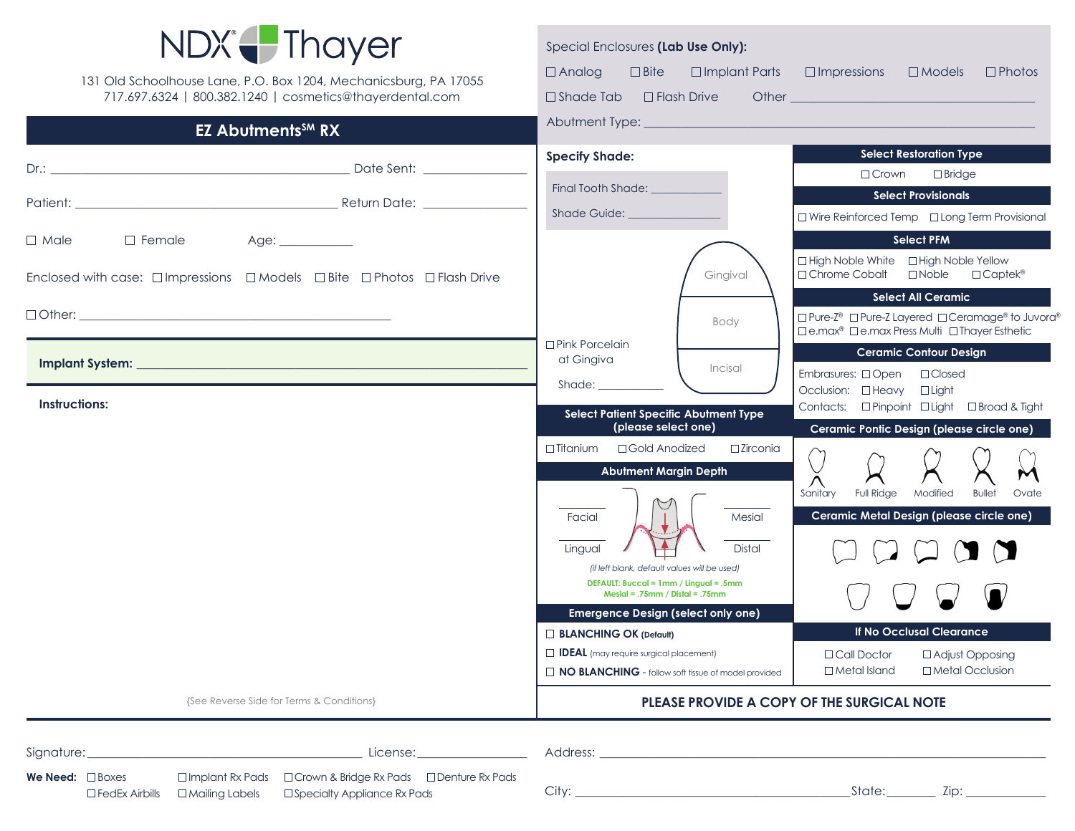

| LL ANVIIIVIIIV<br>$\mathbf{v}$                                                                                   |                                                                             |                                                                                                                 |
|------------------------------------------------------------------------------------------------------------------|-----------------------------------------------------------------------------|-----------------------------------------------------------------------------------------------------------------|
|                                                                                                                  | <b>Specify Shade:</b>                                                       | <b>Select Restoration Type</b>                                                                                  |
|                                                                                                                  | Final Tooth Shade:                                                          | $\Box$ Bridge<br>$\Box$ Crown                                                                                   |
|                                                                                                                  | <b>Shade Guide:</b>                                                         | <b>Select Provisionals</b>                                                                                      |
|                                                                                                                  |                                                                             | □ Wire Reinforced Temp □ Long Term Provisional                                                                  |
| $\Box$ Male<br>$\Box$ Female<br>Age:                                                                             |                                                                             | <b>Select PFM</b>                                                                                               |
| Enclosed with case: $\square$ Impressions $\square$ Models $\square$ Bite $\square$ Photos $\square$ Flash Drive | Gingival                                                                    | □ High Noble White □ High Noble Yellow<br>□ Chrome Cobalt<br>$\Box$ Noble<br>$\Box$ Captek®                     |
|                                                                                                                  |                                                                             | <b>Select All Ceramic</b>                                                                                       |
|                                                                                                                  | Body                                                                        | □ Pure-Z® □ Pure-Z Layered □ Ceramage® to Juvora®<br>□ e.max <sup>®</sup> □ e.max Press Multi □ Thayer Esthetic |
|                                                                                                                  | □ Pink Porcelain<br>at Gingiva                                              | <b>Ceramic Contour Design</b>                                                                                   |
|                                                                                                                  | Incisal<br>Shade: 1988                                                      | Embrasures: □Open □Closed                                                                                       |
| <b>Instructions:</b>                                                                                             |                                                                             | Occlusion: <b>OHeavy</b><br>$\Box$ Light<br>Contacts: □ Pinpoint □ Light □ Broad & Tight                        |
|                                                                                                                  | Select Patient Specific Abutment Type<br>(please select one)                | Ceramic Pontic Design (please circle one)                                                                       |
|                                                                                                                  | $\Box$ Titanium<br>□ Gold Anodized<br>$\square$ Zirconia                    |                                                                                                                 |
|                                                                                                                  | <b>Abutment Margin Depth</b>                                                |                                                                                                                 |
|                                                                                                                  |                                                                             | Sanitary<br><b>Full Ridge</b><br>Modified<br><b>Bullet</b><br>Ovate                                             |
|                                                                                                                  | Facial<br>Mesial                                                            |                                                                                                                 |
|                                                                                                                  | <b>Distal</b><br>Lingual                                                    |                                                                                                                 |
|                                                                                                                  | (if left blank, default values will be used)                                |                                                                                                                 |
|                                                                                                                  | DEFAULT: Buccal = 1mm / Lingual = .5mm<br>$Mesial = .75mm / Distal = .75mm$ |                                                                                                                 |
|                                                                                                                  | <b>Emergence Design (select only one)</b>                                   |                                                                                                                 |
|                                                                                                                  | <b>BLANCHING OK (Default)</b>                                               | If No Occlusal Clearance                                                                                        |
|                                                                                                                  | $\Box$ IDEAL (may require surgical placement)                               | $\Box$ Call Doctor<br>$\Box$ Adjust Opposing                                                                    |
|                                                                                                                  | NO BLANCHING - follow soft tissue of model provided                         | $\Box$ Metal Island<br>□ Metal Occlusion                                                                        |
| {See Reverse Side for Terms & Conditions}                                                                        | PLEASE PROVIDE A COPY OF THE SURGICAL NOTE                                  |                                                                                                                 |

| Signature:                   | License:                                                                                                                                                               | Address: |       |
|------------------------------|------------------------------------------------------------------------------------------------------------------------------------------------------------------------|----------|-------|
| <b>We Need:</b> $\Box$ Boxes | $\Box$ Implant Rx Pads $\Box$ Crown & Bridge Rx Pads $\Box$ Denture Rx Pads<br>$\square$ FedEx Airbills $\square$ Mailing Labels $\square$ Specialty Appliance Rx Pads | Citv:    | State |